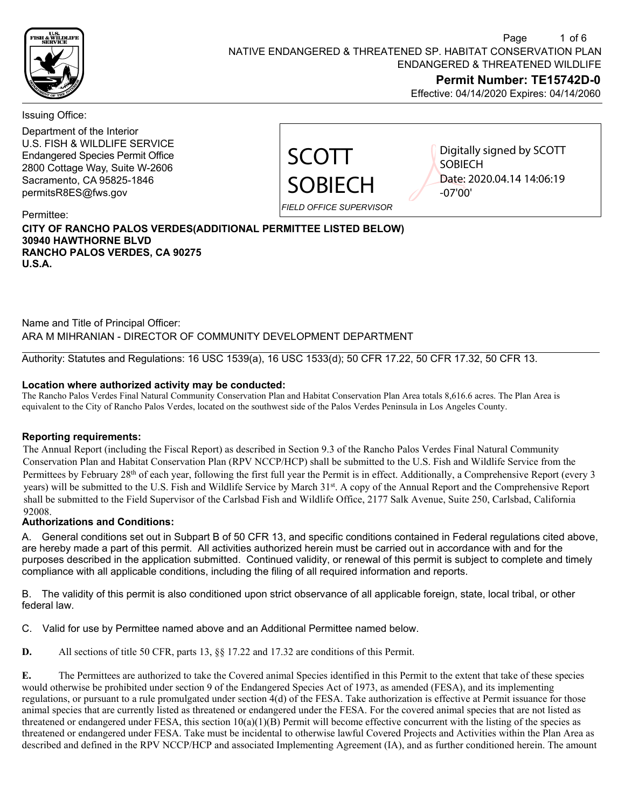

Effective: 04/14/2020 Expires: 04/14/2060

Issuing Office:

Department of the Interior U.S. FISH & WILDLIFE SERVICE Endangered Species Permit Office 2800 Cottage Way, Suite W-2606 Sacramento, CA 95825-1846 permitsR8ES@fws.gov



Digitally signed by SCOTT **SOBIECH** Date: 2020.04.14 14:06:19 -07'00'

Permittee:

## **CITY OF RANCHO PALOS VERDES(ADDITIONAL PERMITTEE LISTED BELOW) 30940 HAWTHORNE BLVD RANCHO PALOS VERDES, CA 90275 U.S.A.**

Name and Title of Principal Officer: ARA M MIHRANIAN - DIRECTOR OF COMMUNITY DEVELOPMENT DEPARTMENT

Authority: Statutes and Regulations: 16 USC 1539(a), 16 USC 1533(d); 50 CFR 17.22, 50 CFR 17.32, 50 CFR 13.

## **Location where authorized activity may be conducted:**

The Rancho Palos Verdes Final Natural Community Conservation Plan and Habitat Conservation Plan Area totals 8,616.6 acres. The Plan Area is equivalent to the City of Rancho Palos Verdes, located on the southwest side of the Palos Verdes Peninsula in Los Angeles County.

### **Reporting requirements:**

The Annual Report (including the Fiscal Report) as described in Section 9.3 of the Rancho Palos Verdes Final Natural Community Conservation Plan and Habitat Conservation Plan (RPV NCCP/HCP) shall be submitted to the U.S. Fish and Wildlife Service from the Permittees by February 28th of each year, following the first full year the Permit is in effect. Additionally, a Comprehensive Report (every 3 years) will be submitted to the U.S. Fish and Wildlife Service by March 31 st. A copy of the Annual Report and the Comprehensive Report shall be submitted to the Field Supervisor of the Carlsbad Fish and Wildlife Office, 2177 Salk Avenue, Suite 250, Carlsbad, California 92008.

## **Authorizations and Conditions:**

A. General conditions set out in Subpart B of 50 CFR 13, and specific conditions contained in Federal regulations cited above, are hereby made a part of this permit. All activities authorized herein must be carried out in accordance with and for the purposes described in the application submitted. Continued validity, or renewal of this permit is subject to complete and timely compliance with all applicable conditions, including the filing of all required information and reports.

B. The validity of this permit is also conditioned upon strict observance of all applicable foreign, state, local tribal, or other federal law.

C. Valid for use by Permittee named above and an Additional Permittee named below.

**D.** All sections of title 50 CFR, parts 13, §§ 17.22 and 17.32 are conditions of this Permit.

**E.** The Permittees are authorized to take the Covered animal Species identified in this Permit to the extent that take of these species would otherwise be prohibited under section 9 of the Endangered Species Act of 1973, as amended (FESA), and its implementing regulations, or pursuant to a rule promulgated under section 4(d) of the FESA. Take authorization is effective at Permit issuance for those animal species that are currently listed as threatened or endangered under the FESA. For the covered animal species that are not listed as threatened or endangered under FESA, this section  $10(a)(1)(B)$  Permit will become effective concurrent with the listing of the species as threatened or endangered under FESA. Take must be incidental to otherwise lawful Covered Projects and Activities within the Plan Area as described and defined in the RPV NCCP/HCP and associated Implementing Agreement (IA), and as further conditioned herein. The amount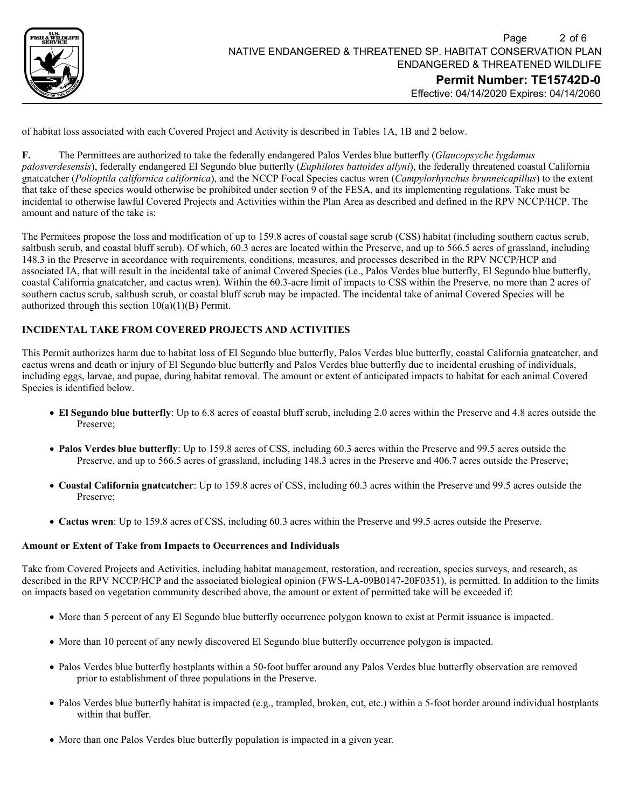

Effective: 04/14/2020 Expires: 04/14/2060

of habitat loss associated with each Covered Project and Activity is described in Tables 1A, 1B and 2 below.

**F.** The Permittees are authorized to take the federally endangered Palos Verdes blue butterfly (*Glaucopsyche lygdamus palosverdesensis*), federally endangered El Segundo blue butterfly (*Euphilotes battoides allyni*), the federally threatened coastal California gnatcatcher (*Polioptila californica californica*), and the NCCP Focal Species cactus wren (*Campylorhynchus brunneicapillus*) to the extent that take of these species would otherwise be prohibited under section 9 of the FESA, and its implementing regulations. Take must be incidental to otherwise lawful Covered Projects and Activities within the Plan Area as described and defined in the RPV NCCP/HCP. The amount and nature of the take is:

The Permitees propose the loss and modification of up to 159.8 acres of coastal sage scrub (CSS) habitat (including southern cactus scrub, saltbush scrub, and coastal bluff scrub). Of which, 60.3 acres are located within the Preserve, and up to 566.5 acres of grassland, including 148.3 in the Preserve in accordance with requirements, conditions, measures, and processes described in the RPV NCCP/HCP and associated IA, that will result in the incidental take of animal Covered Species (i.e., Palos Verdes blue butterfly, El Segundo blue butterfly, coastal California gnatcatcher, and cactus wren). Within the 60.3-acre limit of impacts to CSS within the Preserve, no more than 2 acres of southern cactus scrub, saltbush scrub, or coastal bluff scrub may be impacted. The incidental take of animal Covered Species will be authorized through this section  $10(a)(1)(B)$  Permit.

### **INCIDENTAL TAKE FROM COVERED PROJECTS AND ACTIVITIES**

This Permit authorizes harm due to habitat loss of El Segundo blue butterfly, Palos Verdes blue butterfly, coastal California gnatcatcher, and cactus wrens and death or injury of El Segundo blue butterfly and Palos Verdes blue butterfly due to incidental crushing of individuals, including eggs, larvae, and pupae, during habitat removal. The amount or extent of anticipated impacts to habitat for each animal Covered Species is identified below.

- **El Segundo blue butterfly**: Up to 6.8 acres of coastal bluff scrub, including 2.0 acres within the Preserve and 4.8 acres outside the Preserve;
- **Palos Verdes blue butterfly**: Up to 159.8 acres of CSS, including 60.3 acres within the Preserve and 99.5 acres outside the Preserve, and up to 566.5 acres of grassland, including 148.3 acres in the Preserve and 406.7 acres outside the Preserve;
- **Coastal California gnatcatcher**: Up to 159.8 acres of CSS, including 60.3 acres within the Preserve and 99.5 acres outside the Preserve;
- **Cactus wren**: Up to 159.8 acres of CSS, including 60.3 acres within the Preserve and 99.5 acres outside the Preserve.

#### **Amount or Extent of Take from Impacts to Occurrences and Individuals**

Take from Covered Projects and Activities, including habitat management, restoration, and recreation, species surveys, and research, as described in the RPV NCCP/HCP and the associated biological opinion (FWS-LA-09B0147-20F0351), is permitted. In addition to the limits on impacts based on vegetation community described above, the amount or extent of permitted take will be exceeded if:

- More than 5 percent of any El Segundo blue butterfly occurrence polygon known to exist at Permit issuance is impacted.
- More than 10 percent of any newly discovered El Segundo blue butterfly occurrence polygon is impacted.
- Palos Verdes blue butterfly hostplants within a 50-foot buffer around any Palos Verdes blue butterfly observation are removed prior to establishment of three populations in the Preserve.
- Palos Verdes blue butterfly habitat is impacted (e.g., trampled, broken, cut, etc.) within a 5-foot border around individual hostplants within that buffer.
- More than one Palos Verdes blue butterfly population is impacted in a given year.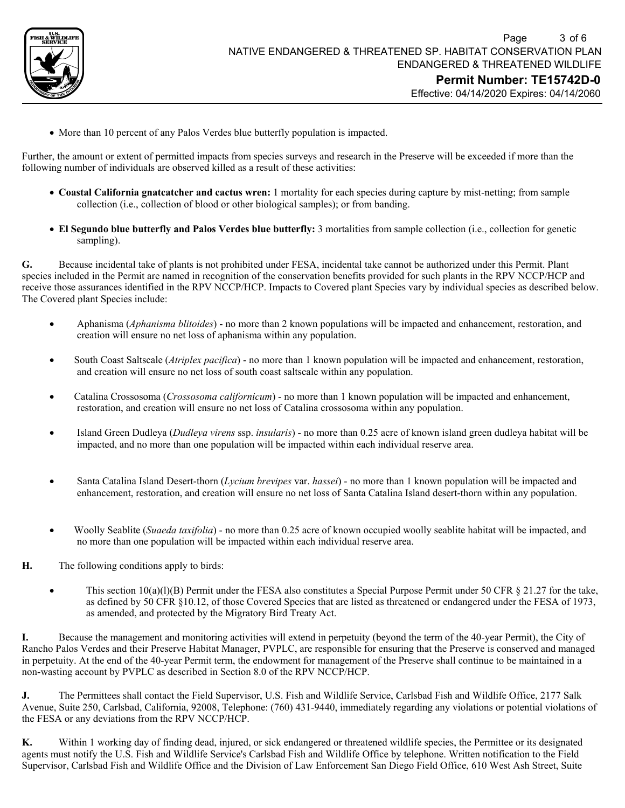

• More than 10 percent of any Palos Verdes blue butterfly population is impacted.

Further, the amount or extent of permitted impacts from species surveys and research in the Preserve will be exceeded if more than the following number of individuals are observed killed as a result of these activities:

- **Coastal California gnatcatcher and cactus wren:** 1 mortality for each species during capture by mist-netting; from sample collection (i.e., collection of blood or other biological samples); or from banding.
- **El Segundo blue butterfly and Palos Verdes blue butterfly:** 3 mortalities from sample collection (i.e., collection for genetic sampling).

**G.** Because incidental take of plants is not prohibited under FESA, incidental take cannot be authorized under this Permit. Plant species included in the Permit are named in recognition of the conservation benefits provided for such plants in the RPV NCCP/HCP and receive those assurances identified in the RPV NCCP/HCP. Impacts to Covered plant Species vary by individual species as described below. The Covered plant Species include:

- Aphanisma (*Aphanisma blitoides*) no more than 2 known populations will be impacted and enhancement, restoration, and creation will ensure no net loss of aphanisma within any population.
- South Coast Saltscale (*Atriplex pacifica*) no more than 1 known population will be impacted and enhancement, restoration, and creation will ensure no net loss of south coast saltscale within any population.
- Catalina Crossosoma (*Crossosoma californicum*) no more than 1 known population will be impacted and enhancement, restoration, and creation will ensure no net loss of Catalina crossosoma within any population.
- Island Green Dudleya (*Dudleya virens* ssp. *insularis*) no more than 0.25 acre of known island green dudleya habitat will be impacted, and no more than one population will be impacted within each individual reserve area.
- Santa Catalina Island Desert-thorn (*Lycium brevipes* var. *hassei*) no more than 1 known population will be impacted and enhancement, restoration, and creation will ensure no net loss of Santa Catalina Island desert-thorn within any population.
- Woolly Seablite (*Suaeda taxifolia*) no more than 0.25 acre of known occupied woolly seablite habitat will be impacted, and no more than one population will be impacted within each individual reserve area.
- **H.** The following conditions apply to birds:
	- This section  $10(a)(1)(B)$  Permit under the FESA also constitutes a Special Purpose Permit under 50 CFR § 21.27 for the take, as defined by 50 CFR §10.12, of those Covered Species that are listed as threatened or endangered under the FESA of 1973, as amended, and protected by the Migratory Bird Treaty Act.

**I.** Because the management and monitoring activities will extend in perpetuity (beyond the term of the 40-year Permit), the City of Rancho Palos Verdes and their Preserve Habitat Manager, PVPLC, are responsible for ensuring that the Preserve is conserved and managed in perpetuity. At the end of the 40-year Permit term, the endowment for management of the Preserve shall continue to be maintained in a non-wasting account by PVPLC as described in Section 8.0 of the RPV NCCP/HCP.

**J.** The Permittees shall contact the Field Supervisor, U.S. Fish and Wildlife Service, Carlsbad Fish and Wildlife Office, 2177 Salk Avenue, Suite 250, Carlsbad, California, 92008, Telephone: (760) 431-9440, immediately regarding any violations or potential violations of the FESA or any deviations from the RPV NCCP/HCP.

**K.** Within 1 working day of finding dead, injured, or sick endangered or threatened wildlife species, the Permittee or its designated agents must notify the U.S. Fish and Wildlife Service's Carlsbad Fish and Wildlife Office by telephone. Written notification to the Field Supervisor, Carlsbad Fish and Wildlife Office and the Division of Law Enforcement San Diego Field Office, 610 West Ash Street, Suite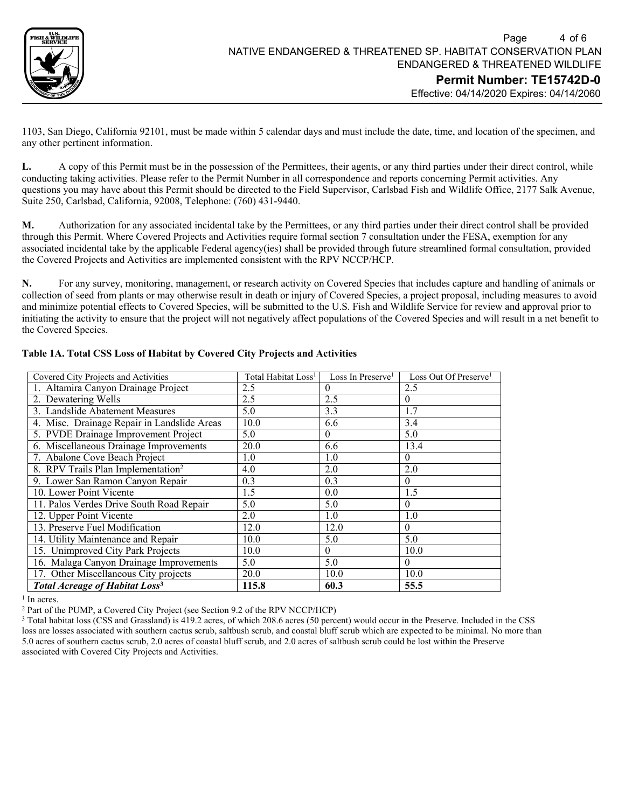

1103, San Diego, California 92101, must be made within 5 calendar days and must include the date, time, and location of the specimen, and any other pertinent information.

**L.** A copy of this Permit must be in the possession of the Permittees, their agents, or any third parties under their direct control, while conducting taking activities. Please refer to the Permit Number in all correspondence and reports concerning Permit activities. Any questions you may have about this Permit should be directed to the Field Supervisor, Carlsbad Fish and Wildlife Office, 2177 Salk Avenue, Suite 250, Carlsbad, California, 92008, Telephone: (760) 431-9440.

**M.** Authorization for any associated incidental take by the Permittees, or any third parties under their direct control shall be provided through this Permit. Where Covered Projects and Activities require formal section 7 consultation under the FESA, exemption for any associated incidental take by the applicable Federal agency(ies) shall be provided through future streamlined formal consultation, provided the Covered Projects and Activities are implemented consistent with the RPV NCCP/HCP.

**N.** For any survey, monitoring, management, or research activity on Covered Species that includes capture and handling of animals or collection of seed from plants or may otherwise result in death or injury of Covered Species, a project proposal, including measures to avoid and minimize potential effects to Covered Species, will be submitted to the U.S. Fish and Wildlife Service for review and approval prior to initiating the activity to ensure that the project will not negatively affect populations of the Covered Species and will result in a net benefit to the Covered Species.

| Covered City Projects and Activities             | Total Habitat Loss <sup>1</sup> | Loss In Preserve <sup>1</sup> | Loss Out Of Preserve <sup>1</sup> |
|--------------------------------------------------|---------------------------------|-------------------------------|-----------------------------------|
| 1. Altamira Canyon Drainage Project              | 2.5                             | $\theta$                      | 2.5                               |
| 2. Dewatering Wells                              | 2.5                             | 2.5                           | $\boldsymbol{0}$                  |
| 3. Landslide Abatement Measures                  | 5.0                             | 3.3                           | 1.7                               |
| 4. Misc. Drainage Repair in Landslide Areas      | 10.0                            | 6.6                           | 3.4                               |
| 5. PVDE Drainage Improvement Project             | 5.0                             | $\theta$                      | 5.0                               |
| 6. Miscellaneous Drainage Improvements           | 20.0                            | 6.6                           | 13.4                              |
| 7. Abalone Cove Beach Project                    | 1.0                             | 1.0                           | $\theta$                          |
| 8. RPV Trails Plan Implementation <sup>2</sup>   | 4.0                             | 2.0                           | 2.0                               |
| 9. Lower San Ramon Canyon Repair                 | 0.3                             | 0.3                           | $\theta$                          |
| 10. Lower Point Vicente                          | 1.5                             | 0.0                           | 1.5                               |
| 11. Palos Verdes Drive South Road Repair         | 5.0                             | 5.0                           | $\theta$                          |
| 12. Upper Point Vicente                          | 2.0                             | 1.0                           | 1.0                               |
| 13. Preserve Fuel Modification                   | 12.0                            | 12.0                          | $\theta$                          |
| 14. Utility Maintenance and Repair               | 10.0                            | 5.0                           | 5.0                               |
| 15. Unimproved City Park Projects                | 10.0                            | $\Omega$                      | 10.0                              |
| 16. Malaga Canyon Drainage Improvements          | 5.0                             | 5.0                           | $\theta$                          |
| 17. Other Miscellaneous City projects            | 20.0                            | 10.0                          | 10.0                              |
| <b>Total Acreage of Habitat Loss<sup>3</sup></b> | 115.8                           | 60.3                          | 55.5                              |

# **Table 1A. Total CSS Loss of Habitat by Covered City Projects and Activities**

 $1$  In acres.<br> $2$  Part of the PUMP, a Covered City Project (see Section 9.2 of the RPV NCCP/HCP)

<sup>3</sup> Total habitat loss (CSS and Grassland) is 419.2 acres, of which 208.6 acres (50 percent) would occur in the Preserve. Included in the CSS loss are losses associated with southern cactus scrub, saltbush scrub, and coastal bluff scrub which are expected to be minimal. No more than 5.0 acres of southern cactus scrub, 2.0 acres of coastal bluff scrub, and 2.0 acres of saltbush scrub could be lost within the Preserve associated with Covered City Projects and Activities.